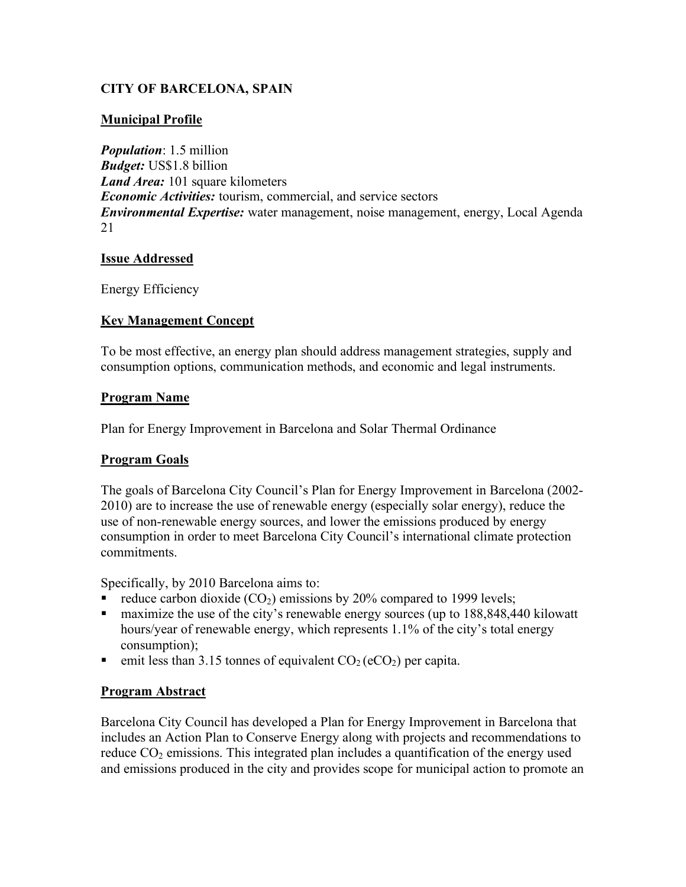## **CITY OF BARCELONA, SPAIN**

### **Municipal Profile**

*Population*: 1.5 million *Budget:* US\$1.8 billion *Land Area:* 101 square kilometers *Economic Activities:* tourism, commercial, and service sectors *Environmental Expertise:* water management, noise management, energy, Local Agenda 21

#### **Issue Addressed**

Energy Efficiency

### **Key Management Concept**

To be most effective, an energy plan should address management strategies, supply and consumption options, communication methods, and economic and legal instruments.

#### **Program Name**

Plan for Energy Improvement in Barcelona and Solar Thermal Ordinance

## **Program Goals**

The goals of Barcelona City Council's Plan for Energy Improvement in Barcelona (2002- 2010) are to increase the use of renewable energy (especially solar energy), reduce the use of non-renewable energy sources, and lower the emissions produced by energy consumption in order to meet Barcelona City Council's international climate protection commitments.

Specifically, by 2010 Barcelona aims to:

- reduce carbon dioxide  $(CO<sub>2</sub>)$  emissions by 20% compared to 1999 levels;
- maximize the use of the city's renewable energy sources (up to 188,848,440 kilowatt hours/year of renewable energy, which represents 1.1% of the city's total energy consumption);
- emit less than 3.15 tonnes of equivalent  $CO<sub>2</sub> (eCO<sub>2</sub>)$  per capita.

#### **Program Abstract**

Barcelona City Council has developed a Plan for Energy Improvement in Barcelona that includes an Action Plan to Conserve Energy along with projects and recommendations to reduce  $CO<sub>2</sub>$  emissions. This integrated plan includes a quantification of the energy used and emissions produced in the city and provides scope for municipal action to promote an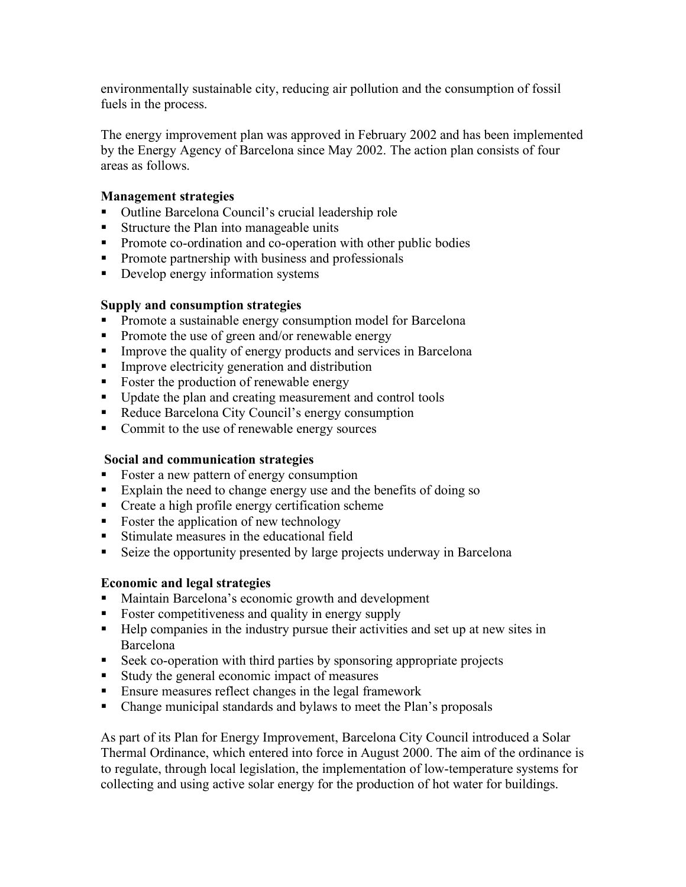environmentally sustainable city, reducing air pollution and the consumption of fossil fuels in the process.

The energy improvement plan was approved in February 2002 and has been implemented by the Energy Agency of Barcelona since May 2002. The action plan consists of four areas as follows.

### **Management strategies**

- Outline Barcelona Council's crucial leadership role
- Structure the Plan into manageable units
- Promote co-ordination and co-operation with other public bodies
- **Promote partnership with business and professionals**
- Develop energy information systems

#### **Supply and consumption strategies**

- **•** Promote a sustainable energy consumption model for Barcelona
- Promote the use of green and/or renewable energy
- Improve the quality of energy products and services in Barcelona
- **IMPROVE EXAM** Improve electricity generation and distribution
- Foster the production of renewable energy
- Update the plan and creating measurement and control tools
- Reduce Barcelona City Council's energy consumption
- Commit to the use of renewable energy sources

#### **Social and communication strategies**

- Foster a new pattern of energy consumption
- Explain the need to change energy use and the benefits of doing so
- Create a high profile energy certification scheme
- Foster the application of new technology
- Stimulate measures in the educational field
- Seize the opportunity presented by large projects underway in Barcelona

#### **Economic and legal strategies**

- Maintain Barcelona's economic growth and development
- Foster competitiveness and quality in energy supply
- Help companies in the industry pursue their activities and set up at new sites in Barcelona
- Seek co-operation with third parties by sponsoring appropriate projects
- Study the general economic impact of measures
- **Ensure measures reflect changes in the legal framework**
- Change municipal standards and bylaws to meet the Plan's proposals

As part of its Plan for Energy Improvement, Barcelona City Council introduced a Solar Thermal Ordinance, which entered into force in August 2000. The aim of the ordinance is to regulate, through local legislation, the implementation of low-temperature systems for collecting and using active solar energy for the production of hot water for buildings.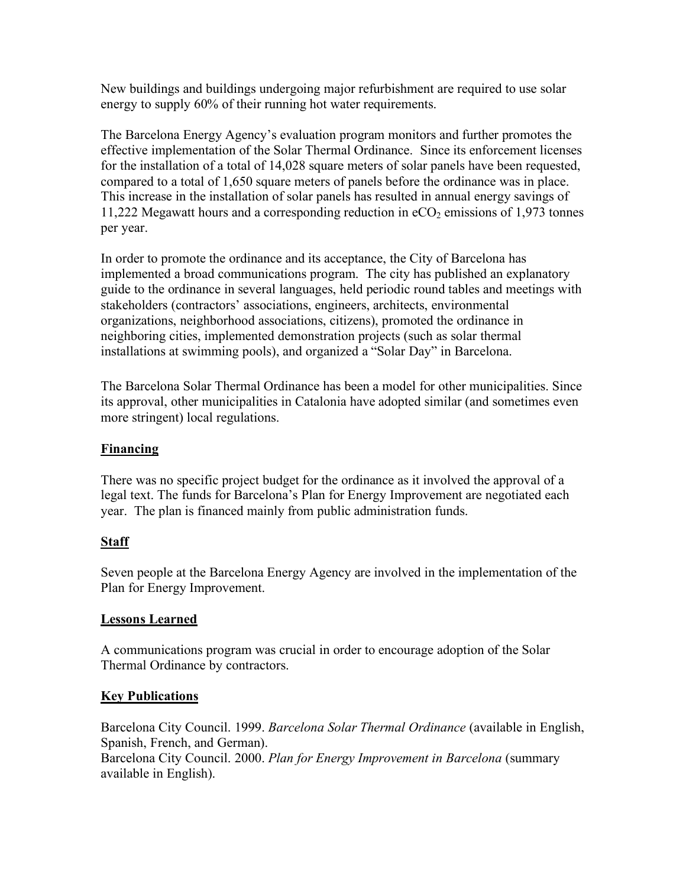New buildings and buildings undergoing major refurbishment are required to use solar energy to supply 60% of their running hot water requirements.

The Barcelona Energy Agency's evaluation program monitors and further promotes the effective implementation of the Solar Thermal Ordinance. Since its enforcement licenses for the installation of a total of 14,028 square meters of solar panels have been requested, compared to a total of 1,650 square meters of panels before the ordinance was in place. This increase in the installation of solar panels has resulted in annual energy savings of 11,222 Megawatt hours and a corresponding reduction in  $eCO<sub>2</sub>$  emissions of 1,973 tonnes per year.

In order to promote the ordinance and its acceptance, the City of Barcelona has implemented a broad communications program. The city has published an explanatory guide to the ordinance in several languages, held periodic round tables and meetings with stakeholders (contractors' associations, engineers, architects, environmental organizations, neighborhood associations, citizens), promoted the ordinance in neighboring cities, implemented demonstration projects (such as solar thermal installations at swimming pools), and organized a "Solar Day" in Barcelona.

The Barcelona Solar Thermal Ordinance has been a model for other municipalities. Since its approval, other municipalities in Catalonia have adopted similar (and sometimes even more stringent) local regulations.

## **Financing**

There was no specific project budget for the ordinance as it involved the approval of a legal text. The funds for Barcelona's Plan for Energy Improvement are negotiated each year. The plan is financed mainly from public administration funds.

## **Staff**

Seven people at the Barcelona Energy Agency are involved in the implementation of the Plan for Energy Improvement.

## **Lessons Learned**

A communications program was crucial in order to encourage adoption of the Solar Thermal Ordinance by contractors.

# **Key Publications**

Barcelona City Council. 1999. *Barcelona Solar Thermal Ordinance* (available in English, Spanish, French, and German). Barcelona City Council. 2000. *Plan for Energy Improvement in Barcelona* (summary available in English).